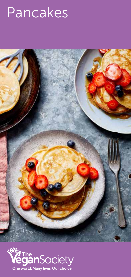## Pancakes